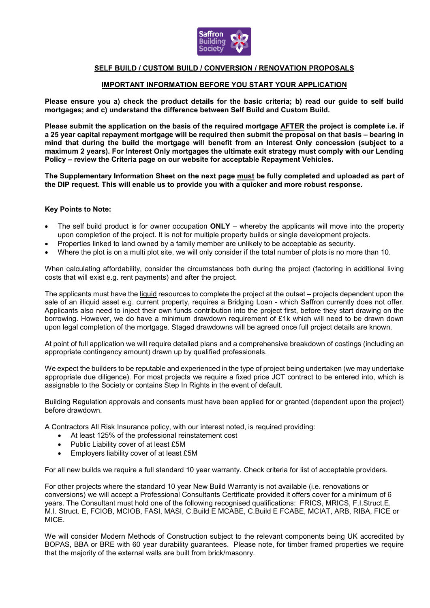

## **SELF BUILD / CUSTOM BUILD / CONVERSION / RENOVATION PROPOSALS**

## **IMPORTANT INFORMATION BEFORE YOU START YOUR APPLICATION**

**Please ensure you a) check the product details for the basic criteria; b) read our guide to self build mortgages; and c) understand the difference between Self Build and Custom Build.** 

**Please submit the application on the basis of the required mortgage AFTER the project is complete i.e. if a 25 year capital repayment mortgage will be required then submit the proposal on that basis – bearing in mind that during the build the mortgage will benefit from an Interest Only concession (subject to a maximum 2 years). For Interest Only mortgages the ultimate exit strategy must comply with our Lending Policy – review the Criteria page on our website for acceptable Repayment Vehicles.**

**The Supplementary Information Sheet on the next page must be fully completed and uploaded as part of the DIP request. This will enable us to provide you with a quicker and more robust response.**

## **Key Points to Note:**

- The self build product is for owner occupation **ONLY** whereby the applicants will move into the property upon completion of the project. It is not for multiple property builds or single development projects.
- Properties linked to land owned by a family member are unlikely to be acceptable as security.
- Where the plot is on a multi plot site, we will only consider if the total number of plots is no more than 10.

When calculating affordability, consider the circumstances both during the project (factoring in additional living costs that will exist e.g. rent payments) and after the project.

The applicants must have the liquid resources to complete the project at the outset – projects dependent upon the sale of an illiquid asset e.g. current property, requires a Bridging Loan - which Saffron currently does not offer. Applicants also need to inject their own funds contribution into the project first, before they start drawing on the borrowing. However, we do have a minimum drawdown requirement of £1k which will need to be drawn down upon legal completion of the mortgage. Staged drawdowns will be agreed once full project details are known.

At point of full application we will require detailed plans and a comprehensive breakdown of costings (including an appropriate contingency amount) drawn up by qualified professionals.

We expect the builders to be reputable and experienced in the type of project being undertaken (we may undertake appropriate due diligence). For most projects we require a fixed price JCT contract to be entered into, which is assignable to the Society or contains Step In Rights in the event of default.

Building Regulation approvals and consents must have been applied for or granted (dependent upon the project) before drawdown.

A Contractors All Risk Insurance policy, with our interest noted, is required providing:

- At least 125% of the professional reinstatement cost
- Public Liability cover of at least £5M
- Employers liability cover of at least £5M

For all new builds we require a full standard 10 year warranty. Check criteria for list of acceptable providers.

For other projects where the standard 10 year New Build Warranty is not available (i.e. renovations or conversions) we will accept a Professional Consultants Certificate provided it offers cover for a minimum of 6 years. The Consultant must hold one of the following recognised qualifications: FRICS, MRICS, F.I.Struct.E, M.I. Struct. E, FCIOB, MCIOB, FASI, MASI, C.Build E MCABE, C.Build E FCABE, MCIAT, ARB, RIBA, FICE or MICE.

We will consider Modern Methods of Construction subject to the relevant components being UK accredited by BOPAS, BBA or BRE with 60 year durability guarantees. Please note, for timber framed properties we require that the majority of the external walls are built from brick/masonry.